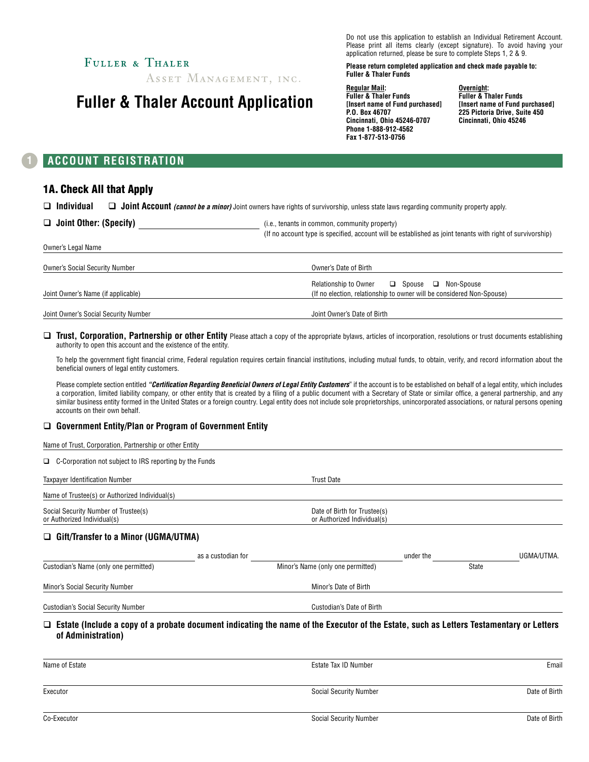## FULLER & THALER

ASSET MANAGEMENT, INC.

# **Fuller & Thaler Account Application**

Do not use this application to establish an Individual Retirement Account. Please print all items clearly (except signature). To avoid having your application returned, please be sure to complete Steps 1, 2 & 9.

**Please return completed application and check made payable to: Fuller & Thaler Funds**

**Regular Mail: Fuller & Thaler Funds [Insert name of Fund purchased] P.O. Box 46707 Cincinnati, Ohio 45246-0707 Phone 1-888-912-4562 Fax 1-877-513-0756**

**Overnight: Fuller & Thaler Funds [Insert name of Fund purchased] 225 Pictoria Drive, Suite 450 Cincinnati, Ohio 45246**

### **1 ACCOUNT REGISTRATION**

### 1A. Check All that Apply

□ Individual □ Joint Account *(cannot be a minor)* Joint owners have rights of survivorship, unless state laws regarding community property apply.

| $\Box$ Joint Other: (Specify)         | (i.e., tenants in common, community property)<br>(If no account type is specified, account will be established as joint tenants with right of survivorship) |
|---------------------------------------|-------------------------------------------------------------------------------------------------------------------------------------------------------------|
| Owner's Legal Name                    |                                                                                                                                                             |
| <b>Owner's Social Security Number</b> | Owner's Date of Birth                                                                                                                                       |
| Joint Owner's Name (if applicable)    | <b>Relationship to Owner</b><br>$\Box$ Spouse $\Box$ Non-Spouse<br>(If no election, relationship to owner will be considered Non-Spouse)                    |
| Joint Owner's Social Security Number  | Joint Owner's Date of Birth                                                                                                                                 |

□ Trust, Corporation, Partnership or other Entity Please attach a copy of the appropriate bylaws, articles of incorporation, resolutions or trust documents establishing authority to open this account and the existence of the entity.

To help the government fight financial crime, Federal regulation requires certain financial institutions, including mutual funds, to obtain, verify, and record information about the beneficial owners of legal entity customers.

Please complete section entitled "Certification Regarding Beneficial Owners of Legal Entity Customers" if the account is to be established on behalf of a legal entity, which includes a corporation, limited liability company, or other entity that is created by a filing of a public document with a Secretary of State or similar office, a general partnership, and any similar business entity formed in the United States or a foreign country. Legal entity does not include sole proprietorships, unincorporated associations, or natural persons opening accounts on their own behalf.

#### □ Government Entity/Plan or Program of Government Entity

| Name of Trust, Corporation, Partnership or other Entity             |                    |                                                             |           |       |            |
|---------------------------------------------------------------------|--------------------|-------------------------------------------------------------|-----------|-------|------------|
| $\Box$ C-Corporation not subject to IRS reporting by the Funds      |                    |                                                             |           |       |            |
| Taxpayer Identification Number                                      |                    | <b>Trust Date</b>                                           |           |       |            |
| Name of Trustee(s) or Authorized Individual(s)                      |                    |                                                             |           |       |            |
| Social Security Number of Trustee(s)<br>or Authorized Individual(s) |                    | Date of Birth for Trustee(s)<br>or Authorized Individual(s) |           |       |            |
| $\Box$ Gift/Transfer to a Minor (UGMA/UTMA)                         |                    |                                                             |           |       |            |
|                                                                     | as a custodian for |                                                             | under the |       | UGMA/UTMA. |
| Custodian's Name (only one permitted)                               |                    | Minor's Name (only one permitted)                           |           | State |            |
| Minor's Social Security Number                                      |                    | Minor's Date of Birth                                       |           |       |            |
| <b>Custodian's Social Security Number</b>                           |                    | <b>Custodian's Date of Birth</b>                            |           |       |            |

□ Estate (Include a copy of a probate document indicating the name of the Executor of the Estate, such as Letters Testamentary or Letters **of Administration)**

| Name of Estate | Estate Tax ID Number          | Email         |  |
|----------------|-------------------------------|---------------|--|
|                |                               |               |  |
| Executor       | <b>Social Security Number</b> | Date of Birth |  |
|                |                               |               |  |
| Co-Executor    | <b>Social Security Number</b> | Date of Birth |  |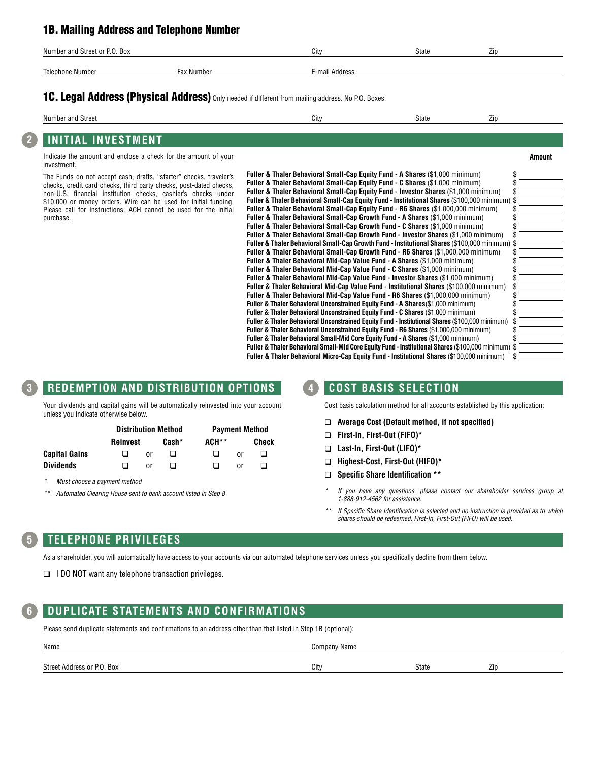### 1B. Mailing Address and Telephone Number

| Number and Street or P.O. Box |            | City           | <b>State</b> | --<br>$\angle$ ID |
|-------------------------------|------------|----------------|--------------|-------------------|
| Telephone Number              | Fax Number | ™-mail Address |              |                   |

### 1C. Legal Address (Physical Address) Only needed if different from mailing address. No P.O. Boxes.

| 'um،<br>and<br>Street | . | σιαισ<br>___ | $\angle$ ID |  |
|-----------------------|---|--------------|-------------|--|
|                       |   |              |             |  |

# **2 INITIAL INVESTMENT**

Indicate the amount and enclose a check for the amount of your investment.

The Funds do not accept cash, drafts, "starter" checks, traveler's checks, credit card checks, third party checks, post-dated checks, non-U.S. financial institution checks, cashier's checks under \$10,000 or money orders. Wire can be used for initial funding, Please call for instructions. ACH cannot be used for the initial purchase.

| Fuller & Thaler Behavioral Small-Cap Equity Fund - A Shares (\$1,000 minimum)                       |  |
|-----------------------------------------------------------------------------------------------------|--|
| <b>Fuller &amp; Thaler Behavioral Small-Cap Equity Fund - C Shares (\$1,000 minimum)</b>            |  |
| Fuller & Thaler Behavioral Small-Cap Equity Fund - Investor Shares (\$1,000 minimum)                |  |
| Fuller & Thaler Behavioral Small-Cap Equity Fund - Institutional Shares (\$100,000 minimum) \$      |  |
| <b>Fuller &amp; Thaler Behavioral Small-Cap Equity Fund - R6 Shares (\$1,000,000 minimum)</b>       |  |
| <b>Fuller &amp; Thaler Behavioral Small-Cap Growth Fund - A Shares (\$1,000 minimum)</b>            |  |
| <b>Fuller &amp; Thaler Behavioral Small-Cap Growth Fund - C Shares (\$1,000 minimum)</b>            |  |
| Fuller & Thaler Behavioral Small-Cap Growth Fund - Investor Shares (\$1,000 minimum)                |  |
| Fuller & Thaler Behavioral Small-Cap Growth Fund - Institutional Shares (\$100,000 minimum) \$      |  |
| Fuller & Thaler Behavioral Small-Cap Growth Fund - R6 Shares (\$1.000.000 minimum)                  |  |
| Fuller & Thaler Behavioral Mid-Cap Value Fund - A Shares (\$1,000 minimum)                          |  |
| Fuller & Thaler Behavioral Mid-Cap Value Fund - C Shares (\$1,000 minimum)                          |  |
| Fuller & Thaler Behavioral Mid-Cap Value Fund - Investor Shares (\$1,000 minimum)                   |  |
| Fuller & Thaler Behavioral Mid-Cap Value Fund - Institutional Shares (\$100,000 minimum)            |  |
| Fuller & Thaler Behavioral Mid-Cap Value Fund - R6 Shares (\$1,000,000 minimum)                     |  |
| Fuller & Thaler Behavioral Unconstrained Equity Fund - A Shares(\$1,000 minimum)                    |  |
| Fuller & Thaler Behavioral Unconstrained Equity Fund - C Shares (\$1,000 minimum)                   |  |
| Fuller & Thaler Behavioral Unconstrained Equity Fund - Institutional Shares (\$100,000 minimum)     |  |
| Fuller & Thaler Behavioral Unconstrained Equity Fund - R6 Shares (\$1,000,000 minimum)              |  |
| Fuller & Thaler Behavioral Small-Mid Core Equity Fund - A Shares (\$1,000 minimum)                  |  |
| Fuller & Thaler Behavioral Small-Mid Core Equity Fund - Institutional Shares (\$100,000 minimum) \$ |  |
| Fuller & Thaler Behavioral Micro-Cap Equity Fund - Institutional Shares (\$100,000 minimum)         |  |

## **3 REDEMPTION AND DISTRIBUTION OPTIONS**

Your dividends and capital gains will be automatically reinvested into your account unless you indicate otherwise below.

|                      | <b>Distribution Method</b> |    | <b>Payment Method</b> |  |       |  |
|----------------------|----------------------------|----|-----------------------|--|-------|--|
|                      | Cash*<br>Reinvest          |    | ACH**                 |  | Check |  |
| <b>Capital Gains</b> |                            | or |                       |  | nr    |  |
| <b>Dividends</b>     |                            | or |                       |  | nr    |  |

*\* Must choose a payment method*

*\*\* Automated Clearing House sent to bank account listed in Step 8*

### **4 COST BASIS SELECTION**

Cost basis calculation method for all accounts established by this application:

**Amount**

- q **Average Cost (Default method, if not specified)**
- q **First-In, First-Out (FIFO)\***
- q **Last-In, First-Out (LIFO)\***
- q **Highest-Cost, First-Out (HIFO)\***
- q **Specific Share Identification \*\***
- *\* If you have any questions, please contact our shareholder services group at 1-888-912-4562 for assistance.*
- *\*\* If Specific Share Identification is selected and no instruction is provided as to which shares should be redeemed, First-In, First-Out (FIFO) will be used.*

### **5 TELEPHONE PRIVILEGES**

As a shareholder, you will automatically have access to your accounts via our automated telephone services unless you specifically decline from them below.

 $\Box$  I DO NOT want any telephone transaction privileges.

### **6 DUPLICATE STATEMENTS AND CONFIRMATIONS**

Please send duplicate statements and confirmations to an address other than that listed in Step 1B (optional):

| Name                          | Company Name |              |                  |
|-------------------------------|--------------|--------------|------------------|
| . Box<br>Street Address or P. | City         | <b>State</b> | -<br>$\angle$ ip |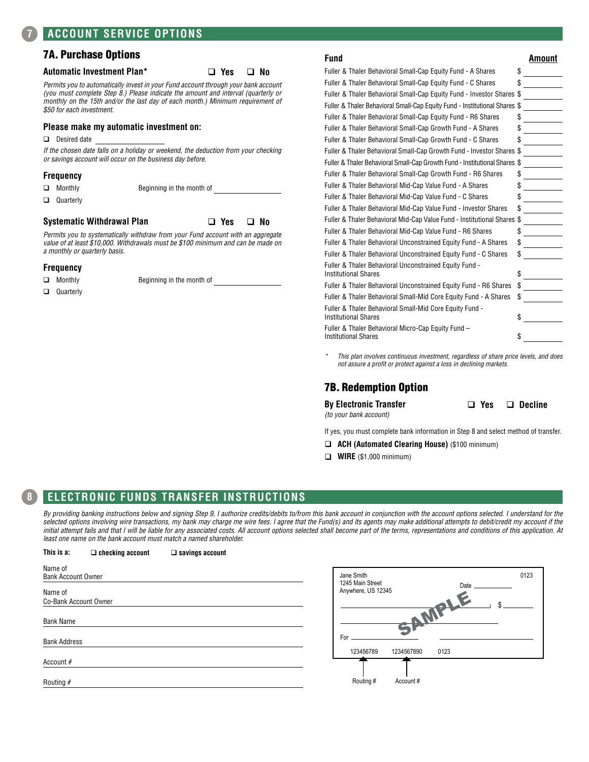### 7A. Purchase Options

#### **Automatic Investment Plan\*** q **Yes** q **No**

*Permits you to automatically invest in your Fund account through your bank account (you must complete Step 8.) Please indicate the amount and interval (quarterly or monthly on the 15th and/or the last day of each month.) Minimum requirement of \$50 for each investment.* 

#### **Please make my automatic investment on:**

 $\Box$  Desired date

*If the chosen date falls on a holiday or weekend, the deduction from your checking or savings account will occur on the business day before.*

#### **Frequency**

| $\Box$ Monthly   | Beginning in the month of |  |
|------------------|---------------------------|--|
| $\Box$ Quarterly |                           |  |

#### **Systematic Withdrawal Plan** q **Yes** q **No**

*Permits you to systematically withdraw from your Fund account with an aggregate value of at least \$10,000. Withdrawals must be \$100 minimum and can be made on a monthly or quarterly basis.*

#### **Frequency**

Quarterly

**Q** Monthly **Beginning in the month of** 

| Fund                                                                                   | Amount |
|----------------------------------------------------------------------------------------|--------|
| Fuller & Thaler Behavioral Small-Cap Equity Fund - A Shares                            | \$     |
| Fuller & Thaler Behavioral Small-Cap Equity Fund - C Shares                            | \$     |
| Fuller & Thaler Behavioral Small-Cap Equity Fund - Investor Shares                     | \$     |
| Fuller & Thaler Behavioral Small-Cap Equity Fund - Institutional Shares \$             |        |
| Fuller & Thaler Behavioral Small-Cap Equity Fund - R6 Shares                           | \$     |
| Fuller & Thaler Behavioral Small-Cap Growth Fund - A Shares                            | \$     |
| Fuller & Thaler Behavioral Small-Cap Growth Fund - C Shares                            | \$     |
| Fuller & Thaler Behavioral Small-Cap Growth Fund - Investor Shares \$                  |        |
| Fuller & Thaler Behavioral Small-Cap Growth Fund - Institutional Shares \$             |        |
| Fuller & Thaler Behavioral Small-Cap Growth Fund - R6 Shares                           | \$     |
| Fuller & Thaler Behavioral Mid-Cap Value Fund - A Shares                               | \$     |
| Fuller & Thaler Behavioral Mid-Cap Value Fund - C Shares                               | \$     |
| Fuller & Thaler Behavioral Mid-Cap Value Fund - Investor Shares                        | \$     |
| Fuller & Thaler Behavioral Mid-Cap Value Fund - Institutional Shares                   | \$     |
| Fuller & Thaler Behavioral Mid-Cap Value Fund - R6 Shares                              | \$     |
| Fuller & Thaler Behavioral Unconstrained Equity Fund - A Shares                        | \$     |
| Fuller & Thaler Behavioral Unconstrained Equity Fund - C Shares                        | \$     |
| Fuller & Thaler Behavioral Unconstrained Equity Fund -<br><b>Institutional Shares</b>  | \$     |
| Fuller & Thaler Behavioral Unconstrained Equity Fund - R6 Shares                       | \$     |
| Fuller & Thaler Behavioral Small-Mid Core Equity Fund - A Shares                       | \$     |
| Fuller & Thaler Behavioral Small-Mid Core Equity Fund -<br><b>Institutional Shares</b> | \$     |
| Fuller & Thaler Behavioral Micro-Cap Equity Fund –                                     |        |

Institutional Shares **\$** 

*\* This plan involves continuous investment, regardless of share price levels, and does not assure a profit or protect against a loss in declining markets.*

### 7B. Redemption Option

**By Electronic Transfer** 

*(to your bank account)*

q **Yes** q **Decline**

0123

\$

If yes, you must complete bank information in Step 8 and select method of transfer.

**Date** 

- q **ACH (Automated Clearing House)** (\$100 minimum)
- **Q WIRE** (\$1,000 minimum)

### **8 ELECTRONIC FUNDS TRANSFER INSTRUCTIONS**

**This is a:** q **checking account** q **savings account**

*By providing banking instructions below and signing Step 9, I authorize credits/debits to/from this bank account in conjunction with the account options selected. I understand for the*  selected options involving wire transactions, my bank may charge me wire fees. I agree that the Fund(s) and its agents may make additional attempts to debit/credit my account if the initial attempt fails and that I will be liable for any associated costs. All account options selected shall become part of the terms, representations and conditions of this application. At *least one name on the bank account must match a named shareholder.*

| Name of<br><b>Bank Account Owner</b> | Jane Smith<br>1245 Main Street  |
|--------------------------------------|---------------------------------|
| Name of                              | Anywhere, US 12345              |
| Co-Bank Account Owner                |                                 |
| <b>Bank Name</b>                     |                                 |
| <b>Bank Address</b>                  | For                             |
|                                      | 0123<br>123456789<br>1234567890 |
| Account #                            |                                 |
| Routing $#$                          | Routing #<br>Account#           |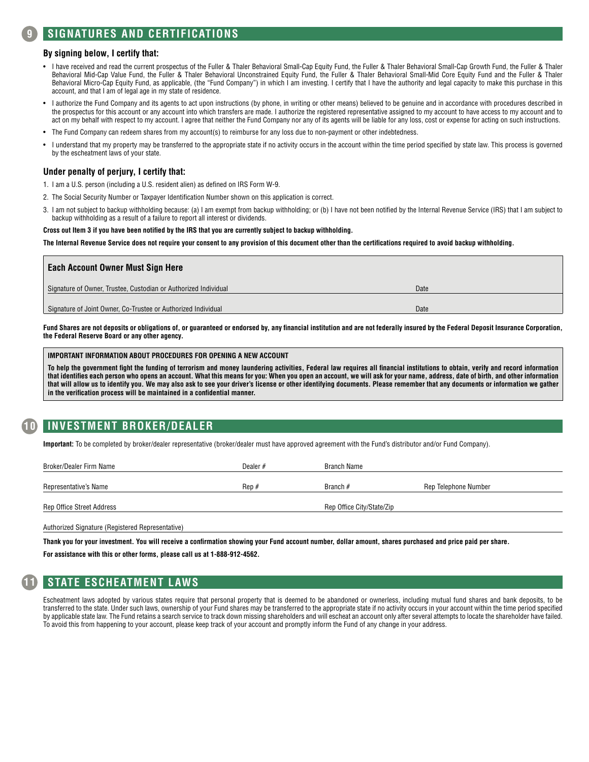### **9 SIGNATURES AND CERTIFICATIONS**

#### **By signing below, I certify that:**

- I have received and read the current prospectus of the Fuller & Thaler Behavioral Small-Cap Equity Fund, the Fuller & Thaler Behavioral Small-Cap Growth Fund, the Fuller & Thaler Behavioral Mid-Cap Value Fund, the Fuller & Thaler Behavioral Unconstrained Equity Fund, the Fuller & Thaler Behavioral Small-Mid Core Equity Fund and the Fuller & Thaler Behavioral Micro-Cap Equity Fund, as applicable, (the "Fund Company") in which I am investing. I certify that I have the authority and legal capacity to make this purchase in this account, and that I am of legal age in my state of residence.
- I authorize the Fund Company and its agents to act upon instructions (by phone, in writing or other means) believed to be genuine and in accordance with procedures described in the prospectus for this account or any account into which transfers are made. I authorize the registered representative assigned to my account to have access to my account and to act on my behalf with respect to my account. I agree that neither the Fund Company nor any of its agents will be liable for any loss, cost or expense for acting on such instructions.
- The Fund Company can redeem shares from my account(s) to reimburse for any loss due to non-payment or other indebtedness.
- I understand that my property may be transferred to the appropriate state if no activity occurs in the account within the time period specified by state law. This process is governed by the escheatment laws of your state.

#### **Under penalty of perjury, I certify that:**

- 1. I am a U.S. person (including a U.S. resident alien) as defined on IRS Form W-9.
- 2. The Social Security Number or Taxpayer Identification Number shown on this application is correct.
- 3. I am not subject to backup withholding because: (a) I am exempt from backup withholding; or (b) I have not been notified by the Internal Revenue Service (IRS) that I am subject to backup withholding as a result of a failure to report all interest or dividends.

#### **Cross out Item 3 if you have been notified by the IRS that you are currently subject to backup withholding.**

**The Internal Revenue Service does not require your consent to any provision of this document other than the certifications required to avoid backup withholding.**

| <b>Each Account Owner Must Sign Here</b>                        |      |
|-----------------------------------------------------------------|------|
| Signature of Owner, Trustee, Custodian or Authorized Individual | Date |
| Signature of Joint Owner, Co-Trustee or Authorized Individual   | Date |

Fund Shares are not deposits or obligations of, or guaranteed or endorsed by, any financial institution and are not federally insured by the Federal Deposit Insurance Corporation, **the Federal Reserve Board or any other agency.**

#### **IMPORTANT INFORMATION ABOUT PROCEDURES FOR OPENING A NEW ACCOUNT**

**To help the government fight the funding of terrorism and money laundering activities, Federal law requires all financial institutions to obtain, verify and record information that identifies each person who opens an account. What this means for you: When you open an account, we will ask for your name, address, date of birth, and other information that will allow us to identify you. We may also ask to see your driver's license or other identifying documents. Please remember that any documents or information we gather in the verification process will be maintained in a confidential manner.**

### **10 INVESTMENT BROKER/DEALER**

**Important:** To be completed by broker/dealer representative (broker/dealer must have approved agreement with the Fund's distributor and/or Fund Company).

| Broker/Dealer Firm Name   | Dealer $#$        | Branch Name               |                      |
|---------------------------|-------------------|---------------------------|----------------------|
| Representative's Name     | $\text{Re}p \neq$ | Branch $#$                | Rep Telephone Number |
| Rep Office Street Address |                   | Rep Office City/State/Zip |                      |
|                           |                   |                           |                      |

Authorized Signature (Registered Representative)

**Thank you for your investment. You will receive a confirmation showing your Fund account number, dollar amount, shares purchased and price paid per share.** 

**For assistance with this or other forms, please call us at 1-888-912-4562.**



### **11 STATE ESCHEATMENT LAWS**

Escheatment laws adopted by various states require that personal property that is deemed to be abandoned or ownerless, including mutual fund shares and bank deposits, to be transferred to the state. Under such laws, ownership of your Fund shares may be transferred to the appropriate state if no activity occurs in your account within the time period specified by applicable state law. The Fund retains a search service to track down missing shareholders and will escheat an account only after several attempts to locate the shareholder have failed. To avoid this from happening to your account, please keep track of your account and promptly inform the Fund of any change in your address.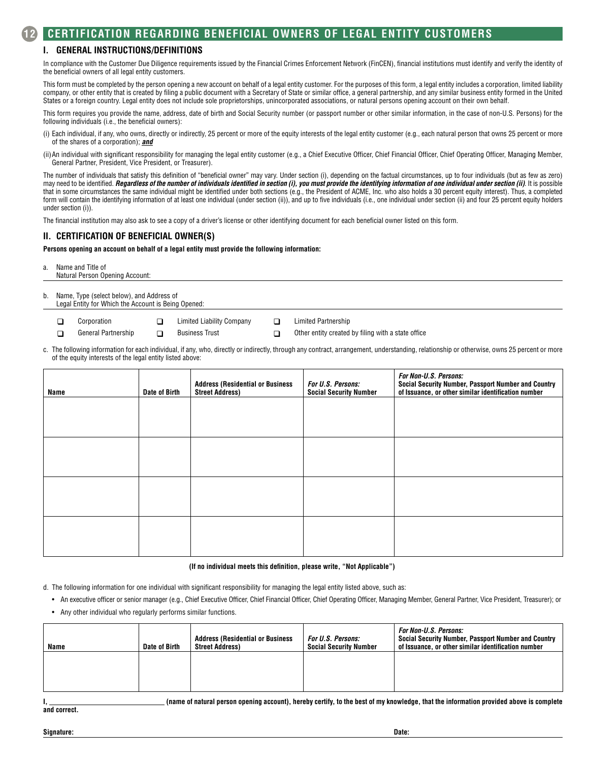### **I. GENERAL INSTRUCTIONS/DEFINITIONS**

In compliance with the Customer Due Diligence requirements issued by the Financial Crimes Enforcement Network (FinCEN), financial institutions must identify and verify the identity of the beneficial owners of all legal entity customers.

This form must be completed by the person opening a new account on behalf of a legal entity customer. For the purposes of this form, a legal entity includes a corporation, limited liability company, or other entity that is created by filing a public document with a Secretary of State or similar office, a general partnership, and any similar business entity formed in the United States or a foreign country. Legal entity does not include sole proprietorships, unincorporated associations, or natural persons opening account on their own behalf.

This form requires you provide the name, address, date of birth and Social Security number (or passport number or other similar information, in the case of non-U.S. Persons) for the following individuals (i.e., the beneficial owners):

- (i) Each individual, if any, who owns, directly or indirectly, 25 percent or more of the equity interests of the legal entity customer (e.g., each natural person that owns 25 percent or more of the shares of a corporation); *and*
- (ii)An individual with significant responsibility for managing the legal entity customer (e.g., a Chief Executive Officer, Chief Financial Officer, Chief Operating Officer, Managing Member, General Partner, President, Vice President, or Treasurer).

The number of individuals that satisfy this definition of "beneficial owner" may vary. Under section (i), depending on the factual circumstances, up to four individuals (but as few as zero) may need to be identified. *Regardless of the number of individuals identified in section (i), you must provide the identifying information of one individual under section (ii)*. It is possible that in some circumstances the same individual might be identified under both sections (e.g., the President of ACME, Inc. who also holds a 30 percent equity interest). Thus, a completed form will contain the identifying information of at least one individual (under section (ii)), and up to five individuals (i.e., one individual under section (ii) and four 25 percent equity holders under section (i)).

The financial institution may also ask to see a copy of a driver's license or other identifying document for each beneficial owner listed on this form.

#### **II. CERTIFICATION OF BENEFICIAL OWNER(S)**

**Persons opening an account on behalf of a legal entity must provide the following information:**

a. Name and Title of Natural Person Opening Account:

- b. Name, Type (select below), and Address of Legal Entity for Which the Account is Being Opened:
	- -
		-
		-
	- **q** Corporation **q** Limited Liability Company **q** Limited Partnership

q General Partnership q Business Trust q Other entity created by filing with a state office

c. The following information for each individual, if any, who, directly or indirectly, through any contract, arrangement, understanding, relationship or otherwise, owns 25 percent or more of the equity interests of the legal entity listed above:

| Name | Date of Birth | <b>Address (Residential or Business</b><br><b>Street Address)</b> | <b>For U.S. Persons:</b><br><b>Social Security Number</b> | For Non-U.S. Persons:<br>Social Security Number, Passport Number and Country<br>of Issuance, or other similar identification number |
|------|---------------|-------------------------------------------------------------------|-----------------------------------------------------------|-------------------------------------------------------------------------------------------------------------------------------------|
|      |               |                                                                   |                                                           |                                                                                                                                     |
|      |               |                                                                   |                                                           |                                                                                                                                     |
|      |               |                                                                   |                                                           |                                                                                                                                     |
|      |               |                                                                   |                                                           |                                                                                                                                     |
|      |               |                                                                   |                                                           |                                                                                                                                     |
|      |               |                                                                   |                                                           |                                                                                                                                     |

#### **(If no individual meets this definition, please write, "Not Applicable")**

d. The following information for one individual with significant responsibility for managing the legal entity listed above, such as:

• An executive officer or senior manager (e.g., Chief Executive Officer, Chief Financial Officer, Chief Operating Officer, Managing Member, General Partner, Vice President, Treasurer); or • Any other individual who regularly performs similar functions.

| Name | Date of Birth | <b>Address (Residential or Business</b><br><b>Street Address)</b> | <b>For U.S. Persons:</b><br><b>Social Security Number</b> | <i><b>For Non-U.S. Persons:</b></i><br>Social Security Number, Passport Number and Country<br>of Issuance, or other similar identification number |
|------|---------------|-------------------------------------------------------------------|-----------------------------------------------------------|---------------------------------------------------------------------------------------------------------------------------------------------------|
|      |               |                                                                   |                                                           |                                                                                                                                                   |

(name of natural person opening account), hereby certify, to the best of my knowledge, that the information provided above is complete

**and correct.**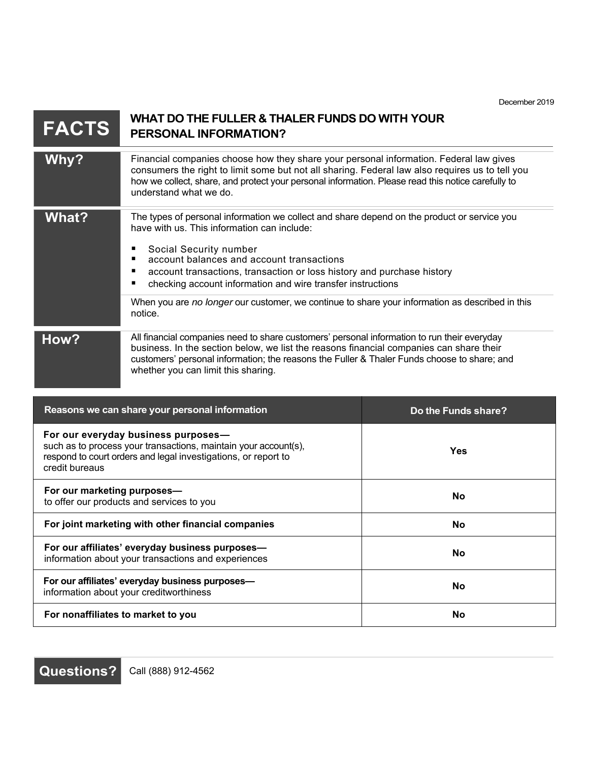| <b>FACTS</b>                                                                                            | WHAT DO THE FULLER & THALER FUNDS DO WITH YOUR<br><b>PERSONAL INFORMATION?</b>                                                                                                                                                                                                                                                                                            |            |
|---------------------------------------------------------------------------------------------------------|---------------------------------------------------------------------------------------------------------------------------------------------------------------------------------------------------------------------------------------------------------------------------------------------------------------------------------------------------------------------------|------------|
| Why?                                                                                                    | Financial companies choose how they share your personal information. Federal law gives<br>consumers the right to limit some but not all sharing. Federal law also requires us to tell you<br>how we collect, share, and protect your personal information. Please read this notice carefully to<br>understand what we do.                                                 |            |
| <b>What?</b>                                                                                            | The types of personal information we collect and share depend on the product or service you<br>have with us. This information can include:<br>Social Security number<br>account balances and account transactions<br>п<br>account transactions, transaction or loss history and purchase history<br>п<br>checking account information and wire transfer instructions<br>п |            |
|                                                                                                         | When you are no longer our customer, we continue to share your information as described in this<br>notice.                                                                                                                                                                                                                                                                |            |
| How?                                                                                                    | All financial companies need to share customers' personal information to run their everyday<br>business. In the section below, we list the reasons financial companies can share their<br>customers' personal information; the reasons the Fuller & Thaler Funds choose to share; and<br>whether you can limit this sharing.                                              |            |
| Reasons we can share your personal information<br>Do the Funds share?                                   |                                                                                                                                                                                                                                                                                                                                                                           |            |
| credit bureaus                                                                                          | For our everyday business purposes-<br>such as to process your transactions, maintain your account(s),<br>respond to court orders and legal investigations, or report to                                                                                                                                                                                                  | <b>Yes</b> |
| For our marketing purposes-<br>to offer our products and services to you                                |                                                                                                                                                                                                                                                                                                                                                                           | No         |
| For joint marketing with other financial companies                                                      |                                                                                                                                                                                                                                                                                                                                                                           | No         |
| For our affiliates' everyday business purposes-<br>information about your transactions and experiences  |                                                                                                                                                                                                                                                                                                                                                                           | <b>No</b>  |
| For our affiliates' everyday business purposes-<br><b>No</b><br>information about your creditworthiness |                                                                                                                                                                                                                                                                                                                                                                           |            |
| For nonaffiliates to market to you<br><b>No</b>                                                         |                                                                                                                                                                                                                                                                                                                                                                           |            |